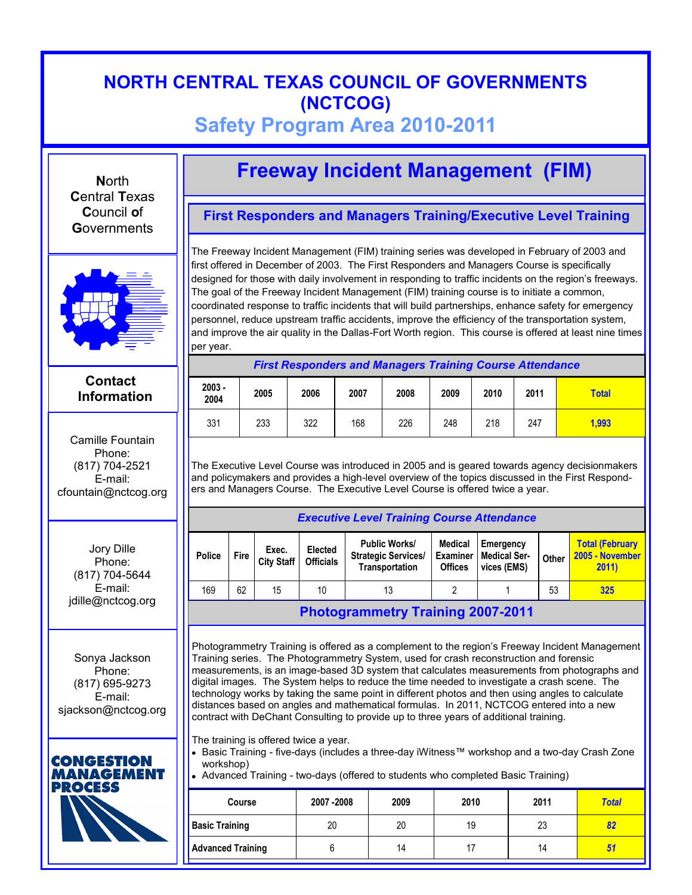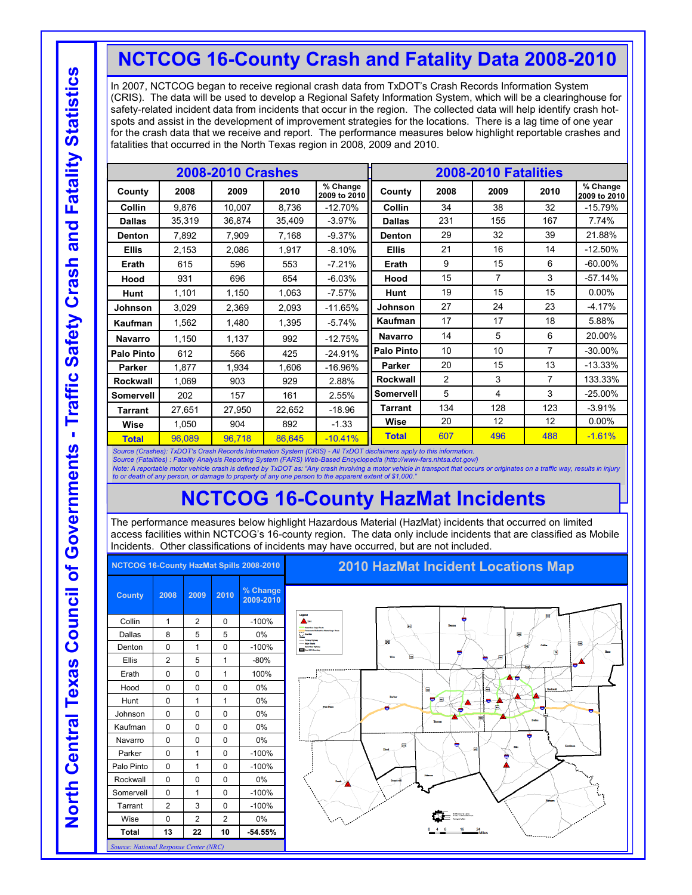## **NCTCOG 16-County Crash and Fatality Data 2008-2010**

In 2007, NCTCOG began to receive regional crash data from TxDOT's Crash Records Information System (CRIS). The data will be used to develop a Regional Safety Information System, which will be a clearinghouse for safety-related incident data from incidents that occur in the region. The collected data will help identify crash hotspots and assist in the development of improvement strategies for the locations. There is a lag time of one year for the crash data that we receive and report. The performance measures below highlight reportable crashes and fatalities that occurred in the North Texas region in 2008, 2009 and 2010.

|                   |        | <b>2008-2010 Crashes</b> |        |                          |                   |      | 2008-2010 Fatalities |      |                          |
|-------------------|--------|--------------------------|--------|--------------------------|-------------------|------|----------------------|------|--------------------------|
| County            | 2008   | 2009                     | 2010   | % Change<br>2009 to 2010 | County            | 2008 | 2009                 | 2010 | % Change<br>2009 to 2010 |
| Collin            | 9,876  | 10,007                   | 8,736  | $-12.70%$                | Collin            | 34   | 38                   | 32   | $-15.79%$                |
| <b>Dallas</b>     | 35,319 | 36.874                   | 35,409 | $-3.97%$                 | <b>Dallas</b>     | 231  | 155                  | 167  | 7.74%                    |
| Denton            | 7,892  | 7,909                    | 7,168  | $-9.37%$                 | Denton            | 29   | 32                   | 39   | 21.88%                   |
| <b>Ellis</b>      | 2,153  | 2,086                    | 1,917  | $-8.10%$                 | <b>Ellis</b>      | 21   | 16                   | 14   | $-12.50%$                |
| Erath             | 615    | 596                      | 553    | $-7.21%$                 | Erath             | 9    | 15                   | 6    | $-60.00\%$               |
| Hood              | 931    | 696                      | 654    | $-6.03%$                 | Hood              | 15   | 7                    | 3    | $-57.14%$                |
| Hunt              | 1,101  | 1,150                    | 1,063  | $-7.57%$                 | Hunt              | 19   | 15                   | 15   | 0.00%                    |
| <b>Johnson</b>    | 3,029  | 2,369                    | 2,093  | $-11.65%$                | Johnson           | 27   | 24                   | 23   | $-4.17%$                 |
| Kaufman           | 1,562  | 1,480                    | 1,395  | $-5.74%$                 | Kaufman           | 17   | 17                   | 18   | 5.88%                    |
| <b>Navarro</b>    | 1,150  | 1,137                    | 992    | $-12.75%$                | <b>Navarro</b>    | 14   | 5                    | 6    | 20.00%                   |
| <b>Palo Pinto</b> | 612    | 566                      | 425    | $-24.91%$                | <b>Palo Pinto</b> | 10   | 10                   | 7    | $-30.00\%$               |
| Parker            | 1.877  | 1.934                    | 1.606  | $-16.96%$                | <b>Parker</b>     | 20   | 15                   | 13   | $-13.33%$                |
| <b>Rockwall</b>   | 1,069  | 903                      | 929    | 2.88%                    | Rockwall          | 2    | 3                    | 7    | 133.33%                  |
| Somervell         | 202    | 157                      | 161    | 2.55%                    | Somervell         | 5    | 4                    | 3    | $-25.00%$                |
| Tarrant           | 27,651 | 27.950                   | 22,652 | $-18.96$                 | Tarrant           | 134  | 128                  | 123  | $-3.91%$                 |
| Wise              | 1,050  | 904                      | 892    | $-1.33$                  | Wise              | 20   | 12                   | 12   | 0.00%                    |
| <b>Total</b>      | 96,089 | 96,718                   | 86.645 | $-10.41%$                | <b>Total</b>      | 607  | 496                  | 488  | $-1.61%$                 |

*Source (Crashes): TxDOT's Crash Records Information System (CRIS) - All TxDOT disclaimers apply to this information.*

*Source (Fatalities) : Fatality Analysis Reporting System (FARS) Web-Based Encyclopedia (http://www-fars.nhtsa.dot.gov/)*

Note: A reportable motor vehicle crash is defined by TxDOT as: "Any crash involving a motor vehicle in transport that occurs or originates on a traffic way, results in injury<br>to or death of any person, or damage to propert

## **NCTCOG 16-County HazMat Incidents**

The performance measures below highlight Hazardous Material (HazMat) incidents that occurred on limited access facilities within NCTCOG's 16-county region. The data only include incidents that are classified as Mobile Incidents. Other classifications of incidents may have occurred, but are not included.

|                                        |                |                |                | NCTCOG 16-County HazMat Spills 2008-2010 | <b>2010 HazMat Incident Locations Map</b>                   |
|----------------------------------------|----------------|----------------|----------------|------------------------------------------|-------------------------------------------------------------|
| <b>County</b>                          | 2008           | 2009           | 2010           | % Change<br>2009-2010                    |                                                             |
| Collin                                 | 1              | 2              | $\Omega$       | $-100%$                                  | Legend<br>▣<br>$\triangle$<br>Dealers                       |
| <b>Dallas</b>                          | 8              | 5              | 5              | 0%                                       | $\qquad \qquad \blacksquare$<br>$\sim$ Gas                  |
| Denton                                 | $\Omega$       | $\mathbf{1}$   | $\Omega$       | $-100%$                                  | B<br>靏<br><b>The MAInney</b><br>$\overline{m}$              |
| Ellis                                  | 2              | 5              | 1              | $-80%$                                   | нq<br>肩<br>w                                                |
| Erath                                  | 0              | $\Omega$       | 1              | 100%                                     |                                                             |
| Hood                                   | $\Omega$       | $\Omega$       | $\Omega$       | 0%                                       | $\blacksquare$<br>ſщ.<br>Reckwall                           |
| Hunt                                   | 0              | 1              | 1              | $0\%$                                    | Parker<br>Е<br>U<br>$\bullet$ $\bullet$<br>$\blacktriangle$ |
| Johnson                                | $\Omega$       | $\Omega$       | $\Omega$       | 0%                                       | Pale Plate<br>۰<br>-<br>۰<br>담                              |
| Kaufman                                | $\Omega$       | $\Omega$       | $\Omega$       | 0%                                       | <b>Dallas</b><br>Terrant                                    |
| Navarro                                | $\Omega$       | $\Omega$       | $\mathbf 0$    | $0\%$                                    | 露<br>Kastana                                                |
| Parker                                 | $\mathbf 0$    | $\mathbf{1}$   | $\mathbf 0$    | $-100%$                                  | <b>Ellis</b><br>価                                           |
| Palo Pinto                             | $\Omega$       | 1              | $\Omega$       | $-100%$                                  |                                                             |
| Rockwall                               | $\Omega$       | $\Omega$       | $\Omega$       | $0\%$                                    | <b>Truth</b>                                                |
| Somervell                              | $\Omega$       | 1              | $\Omega$       | $-100%$                                  |                                                             |
| Tarrant                                | $\overline{2}$ | 3              | $\Omega$       | $-100%$                                  |                                                             |
| Wise                                   | 0              | $\overline{2}$ | $\overline{2}$ | 0%                                       |                                                             |
| <b>Total</b>                           | 13             | 22             | 10             | $-54.55%$                                |                                                             |
| Source: National Response Center (NRC) |                |                |                |                                          |                                                             |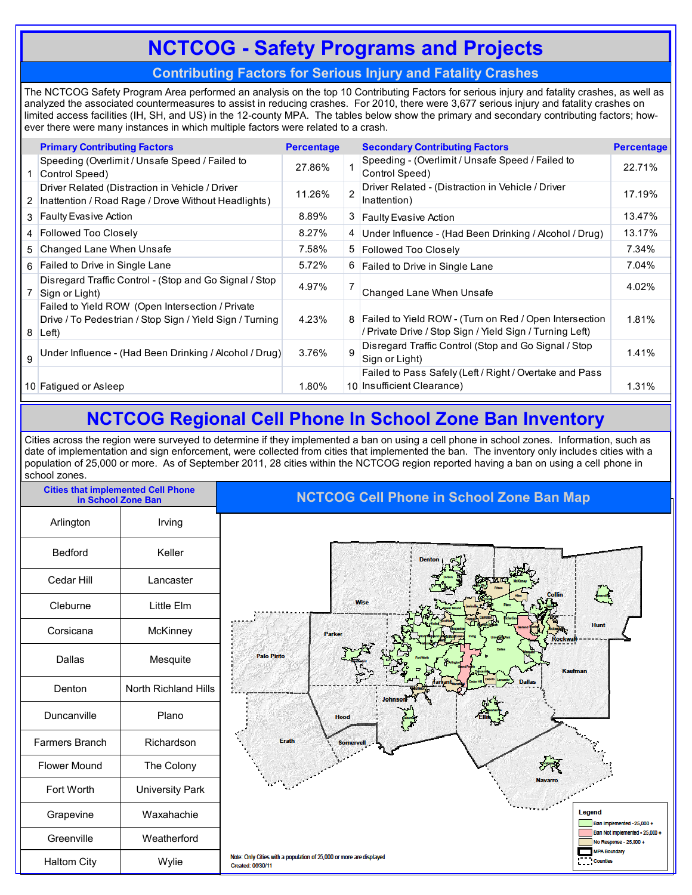# **NCTCOG - Safety Programs and Projects**

#### **Contributing Factors for Serious Injury and Fatality Crashes**

The NCTCOG Safety Program Area performed an analysis on the top 10 Contributing Factors for serious injury and fatality crashes, as well as analyzed the associated countermeasures to assist in reducing crashes. For 2010, there were 3,677 serious injury and fatality crashes on limited access facilities (IH, SH, and US) in the 12-county MPA. The tables below show the primary and secondary contributing factors; however there were many instances in which multiple factors were related to a crash.

|              | <b>Primary Contributing Factors</b>                                                                                             | <b>Percentage</b> |                | <b>Secondary Contributing Factors</b>                                                                                | <b>Percentage</b> |
|--------------|---------------------------------------------------------------------------------------------------------------------------------|-------------------|----------------|----------------------------------------------------------------------------------------------------------------------|-------------------|
|              | Speeding (Overlimit / Unsafe Speed / Failed to<br>Control Speed)                                                                | 27.86%            |                | Speeding - (Overlimit / Unsafe Speed / Failed to<br>Control Speed)                                                   | 22.71%            |
| $\mathbf{2}$ | Driver Related (Distraction in Vehicle / Driver<br>Inattention / Road Rage / Drove Without Headlights)                          | 11.26%            | $\overline{2}$ | Driver Related - (Distraction in Vehicle / Driver<br>Inattention)                                                    | 17.19%            |
|              | 3 Faulty Evasive Action                                                                                                         | 8.89%             |                | 3 Faulty Evasive Action                                                                                              | 13.47%            |
|              | 4 Followed Too Closely                                                                                                          | 8.27%             |                | 4 Under Influence - (Had Been Drinking / Alcohol / Drug)                                                             | 13.17%            |
|              | 5 Changed Lane When Unsafe                                                                                                      | 7.58%             |                | 5 Followed Too Closely                                                                                               | 7.34%             |
|              | 6 Failed to Drive in Single Lane                                                                                                | 5.72%             |                | 6 Failed to Drive in Single Lane                                                                                     | 7.04%             |
|              | Disregard Traffic Control - (Stop and Go Signal / Stop<br>Sign or Light)                                                        | 4.97%             |                | Changed Lane When Unsafe                                                                                             | 4.02%             |
| 8            | Failed to Yield ROW (Open Intersection / Private<br>Drive / To Pedestrian / Stop Sign / Yield Sign / Turning<br>$\mathsf{Left}$ | 4.23%             |                | 8 Failed to Yield ROW - (Turn on Red / Open Intersection<br>/ Private Drive / Stop Sign / Yield Sign / Turning Left) | 1.81%             |
| 9            | Under Influence - (Had Been Drinking / Alcohol / Drug)                                                                          | 3.76%             | 9              | Disregard Traffic Control (Stop and Go Signal / Stop<br>Sign or Light)                                               | 1.41%             |
|              |                                                                                                                                 |                   |                | Failed to Pass Safely (Left / Right / Overtake and Pass                                                              |                   |
|              | 10 Fatiqued or Asleep                                                                                                           | 1.80%             |                | 10 Insufficient Clearance)                                                                                           | 1.31%             |
|              |                                                                                                                                 |                   |                |                                                                                                                      |                   |

### **NCTCOG Regional Cell Phone In School Zone Ban Inventory**

Cities across the region were surveyed to determine if they implemented a ban on using a cell phone in school zones. Information, such as date of implementation and sign enforcement, were collected from cities that implemented the ban. The inventory only includes cities with a population of 25,000 or more. As of September 2011, 28 cities within the NCTCOG region reported having a ban on using a cell phone in school zones.

| <b>Cities that implemented Cell Phone</b><br>in School Zone Ban |                        | <b>NCTCOG Cell Phone in School Zone Ban Map</b>                                                                                    |
|-----------------------------------------------------------------|------------------------|------------------------------------------------------------------------------------------------------------------------------------|
| Arlington                                                       | Irving                 |                                                                                                                                    |
| Bedford                                                         | Keller                 | <b>Dentor</b>                                                                                                                      |
| Cedar Hill                                                      | Lancaster              |                                                                                                                                    |
| Cleburne                                                        | Little Elm             | $\equiv$<br>Wise                                                                                                                   |
| Corsicana                                                       | McKinney               | <b>Hunt</b><br>Parker<br><b>Rockwal</b>                                                                                            |
| Dallas                                                          | Mesquite               | <b>Palo Pinto</b><br>Kaufman                                                                                                       |
| Denton                                                          | North Richland Hills   |                                                                                                                                    |
| Duncanville                                                     | Plano                  | <b>Hood</b>                                                                                                                        |
| Farmers Branch                                                  | Richardson             | Erath<br><b>Somervell</b>                                                                                                          |
| <b>Flower Mound</b>                                             | The Colony             |                                                                                                                                    |
| Fort Worth                                                      | <b>University Park</b> | <b>Navarro</b>                                                                                                                     |
| Grapevine                                                       | Waxahachie             | Legend<br>Ban Implemented - 25,000 +                                                                                               |
| Greenville                                                      | Weatherford            | Ban Not Implemented - 25,000 +<br>No Response - 25,000 +                                                                           |
| <b>Haltom City</b>                                              | Wylie                  | <b>MPA Boundary</b><br>Note: Only Cities with a population of 25,000 or more are displayed<br><b>Counties</b><br>Created: 06/30/11 |